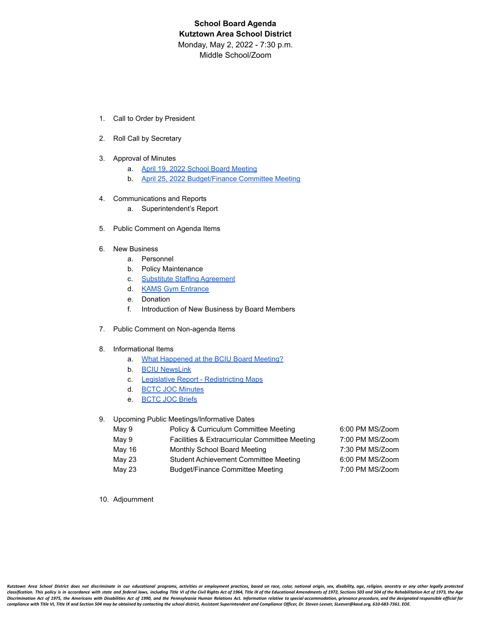# **School Board Agenda Kutztown Area School District** Monday, May 2, 2022 - 7:30 p.m. Middle School/Zoom

- 1. Call to Order by President
- 2. Roll Call by Secretary
- 3. Approval of Minutes
	- a. [April 19, 2022 School Board Meeting](https://drive.google.com/file/d/1nltuFHsPY8G6H89Vc1ckzp2jtdS4SrXi/view?usp=sharing)
	- b. [April 25, 2022 Budget/Finance Committee Meeting](https://drive.google.com/file/d/1P3gVHzF2FGoSAmvs3nIoJ8S8i5JhLzlv/view?usp=sharing)
- 4. Communications and Reports
	- a. Superintendent's Report
- 5. Public Comment on Agenda Items
- 6. New Business
	- a. Personnel
	- b. Policy Maintenance
	- c. [Substitute Staffing Agreement](https://drive.google.com/file/d/1dN1etDaPPRPrTutgwELyCHC1GWsRVvGZ/view?usp=sharing)
	- d. [KAMS Gym Entrance](https://drive.google.com/file/d/1w70HsLus4pNqcnks43zOF12nEny8Hx8c/view?usp=sharing)
	- e. Donation
	- f. Introduction of New Business by Board Members
- 7. Public Comment on Non-agenda Items

#### 8. Informational Items

- a. [What Happened at the BCIU Board Meeting?](https://drive.google.com/file/d/1OMxXQT-b8qWD7us3IegJntjRcuPYU4fi/view?usp=sharing)
- b. [BCIU NewsLink](https://drive.google.com/file/d/1w5QWv7GeyS_vpzxVIrJJlLsBqkp4oftK/view?usp=sharing)
- c. [Legislative Report Redistricting Maps](https://drive.google.com/file/d/1rndor19L-h5DQsaW6Smg7Il9ixFw1-Iq/view?usp=sharing)
- d. [BCTC JOC Minutes](https://drive.google.com/file/d/1ALpNrZcN73ESbRRySBmU2OqUjHzfKszJ/view?usp=sharing)
- e. [BCTC JOC Briefs](https://drive.google.com/file/d/15BeeAMcj_m2kJHyBTApKS2MUy1Y4E1VE/view?usp=sharing)

#### 9. Upcoming Public Meetings/Informative Dates

| May 9  | Policy & Curriculum Committee Meeting          | 6:00 PM MS/Zoom |
|--------|------------------------------------------------|-----------------|
| May 9  | Facilities & Extracurricular Committee Meeting | 7:00 PM MS/Zoom |
| May 16 | Monthly School Board Meeting                   | 7:30 PM MS/Zoom |
| May 23 | Student Achievement Committee Meeting          | 6:00 PM MS/Zoom |
| May 23 | Budget/Finance Committee Meeting               | 7:00 PM MS/Zoom |
|        |                                                |                 |

10. Adjournment